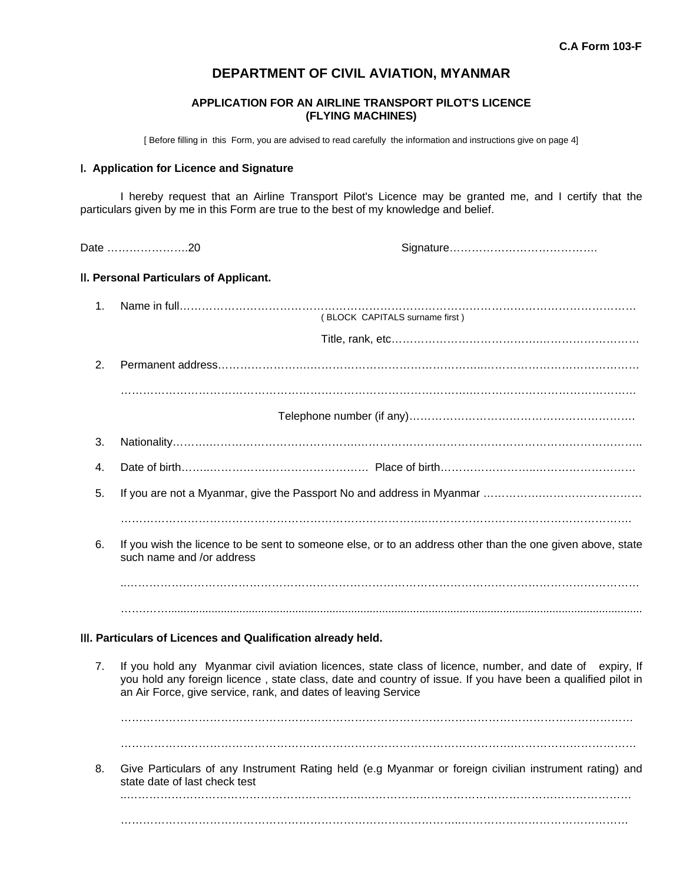# **DEPARTMENT OF CIVIL AVIATION, MYANMAR**

# **APPLICATION FOR AN AIRLINE TRANSPORT PILOT'S LICENCE (FLYING MACHINES)**

[ Before filling in this Form, you are advised to read carefully the information and instructions give on page 4]

### I**. Application for Licence and Signature**

 I hereby request that an Airline Transport Pilot's Licence may be granted me, and I certify that the particulars given by me in this Form are true to the best of my knowledge and belief.

Date ………………….20 Signature………………………………….

# II**. Personal Particulars of Applicant.**

| 1. |                                                                                                                                                                                                                                                                                          |
|----|------------------------------------------------------------------------------------------------------------------------------------------------------------------------------------------------------------------------------------------------------------------------------------------|
|    | (BLOCK CAPITALS surname first)                                                                                                                                                                                                                                                           |
|    |                                                                                                                                                                                                                                                                                          |
| 2. |                                                                                                                                                                                                                                                                                          |
|    |                                                                                                                                                                                                                                                                                          |
|    |                                                                                                                                                                                                                                                                                          |
| 3. |                                                                                                                                                                                                                                                                                          |
| 4. |                                                                                                                                                                                                                                                                                          |
| 5. |                                                                                                                                                                                                                                                                                          |
|    |                                                                                                                                                                                                                                                                                          |
| 6. | If you wish the licence to be sent to someone else, or to an address other than the one given above, state<br>such name and /or address                                                                                                                                                  |
|    |                                                                                                                                                                                                                                                                                          |
|    |                                                                                                                                                                                                                                                                                          |
|    | III. Particulars of Licences and Qualification already held.                                                                                                                                                                                                                             |
|    |                                                                                                                                                                                                                                                                                          |
| 7. | If you hold any Myanmar civil aviation licences, state class of licence, number, and date of expiry, If<br>you hold any foreign licence, state class, date and country of issue. If you have been a qualified pilot in<br>an Air Force, give service, rank, and dates of leaving Service |
|    |                                                                                                                                                                                                                                                                                          |
|    |                                                                                                                                                                                                                                                                                          |
| 8. | Give Particulars of any Instrument Rating held (e.g Myanmar or foreign civilian instrument rating) and<br>state date of last check test                                                                                                                                                  |
|    |                                                                                                                                                                                                                                                                                          |
|    |                                                                                                                                                                                                                                                                                          |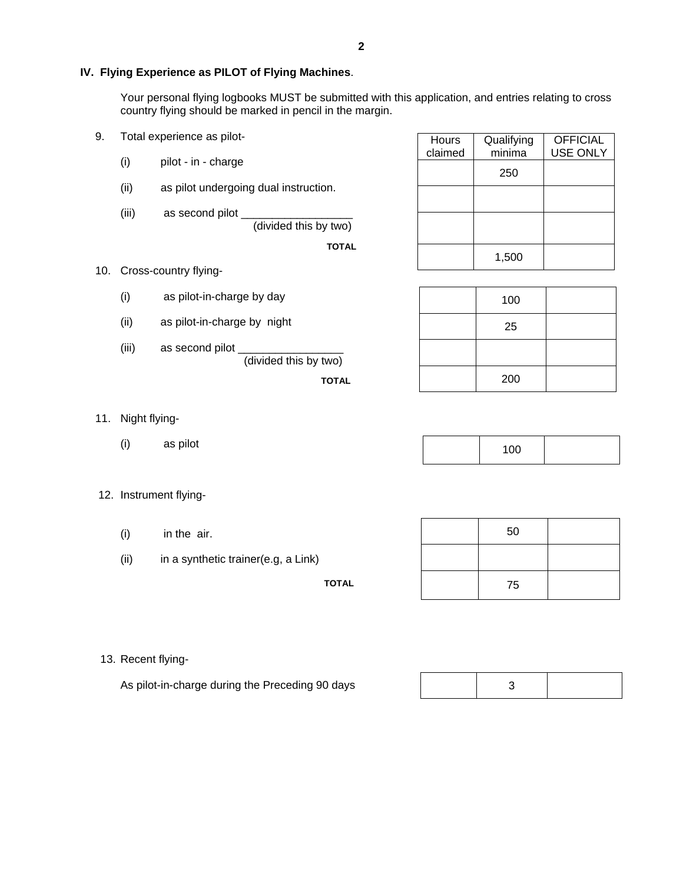Your personal flying logbooks MUST be submitted with this application, and entries relating to cross country flying should be marked in pencil in the margin.

- 9. Total experience as pilot-
	- (i) pilot in charge
	- (ii) as pilot undergoing dual instruction.
	- (iii) as second pilot (divided this by two)

**TOTAL**

| Hours<br>claimed | Qualifying<br>minima | <b>OFFICIAL</b><br><b>USE ONLY</b> |
|------------------|----------------------|------------------------------------|
|                  | 250                  |                                    |
|                  |                      |                                    |
|                  |                      |                                    |
|                  | 1,500                |                                    |

- 10. Cross-country flying-
	- (i) as pilot-in-charge by day
	- (ii) as pilot-in-charge by night
	- (iii) as second pilot (divided this by two)

**TOTAL** 

| 100 |  |
|-----|--|
| 25  |  |
|     |  |
| 200 |  |

Τ

Τ

- 11. Night flying-
	- (i) as pilot

|  | $\overline{100}$<br>$\sim$ |  |
|--|----------------------------|--|
|--|----------------------------|--|

- 12. Instrument flying-
	- (i) in the air.
	- (ii) in a synthetic trainer(e.g, a Link)

**TOTAL** 

| 50 |  |
|----|--|
|    |  |
| 75 |  |

13. Recent flying-

As pilot-in-charge during the Preceding 90 days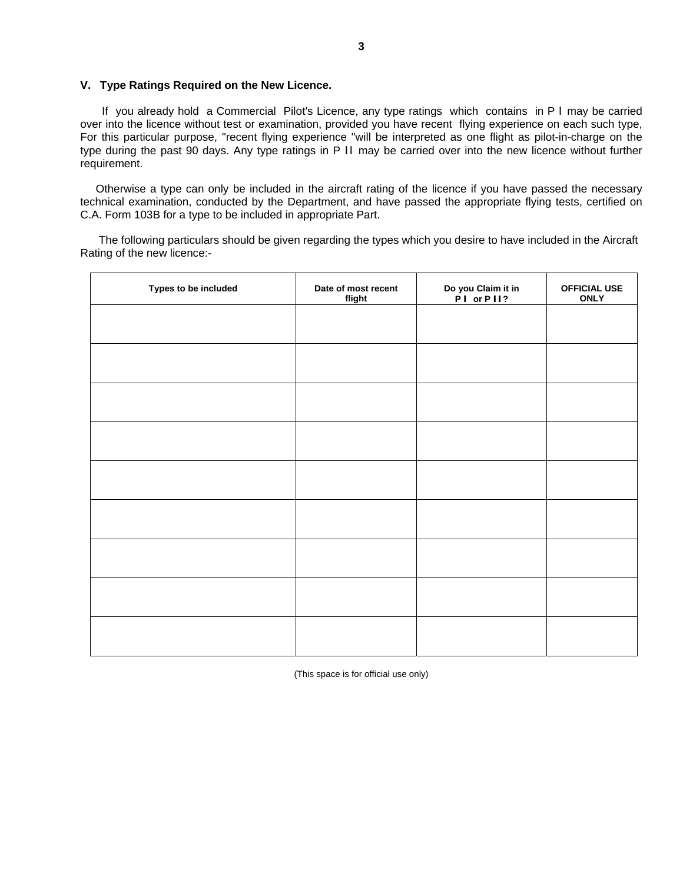#### **V. Type Ratings Required on the New Licence.**

 If you already hold a Commercial Pilot's Licence, any type ratings which contains in P I may be carried over into the licence without test or examination, provided you have recent flying experience on each such type, For this particular purpose, "recent flying experience "will be interpreted as one flight as pilot-in-charge on the type during the past 90 days. Any type ratings in P II may be carried over into the new licence without further requirement.

 Otherwise a type can only be included in the aircraft rating of the licence if you have passed the necessary technical examination, conducted by the Department, and have passed the appropriate flying tests, certified on C.A. Form 103B for a type to be included in appropriate Part.

 The following particulars should be given regarding the types which you desire to have included in the Aircraft Rating of the new licence:-

| Types to be included | Date of most recent<br>flight | Do you Claim it in<br>P I or P I I? | <b>OFFICIAL USE</b><br><b>ONLY</b> |
|----------------------|-------------------------------|-------------------------------------|------------------------------------|
|                      |                               |                                     |                                    |
|                      |                               |                                     |                                    |
|                      |                               |                                     |                                    |
|                      |                               |                                     |                                    |
|                      |                               |                                     |                                    |
|                      |                               |                                     |                                    |
|                      |                               |                                     |                                    |
|                      |                               |                                     |                                    |
|                      |                               |                                     |                                    |
|                      |                               |                                     |                                    |

(This space is for official use only)